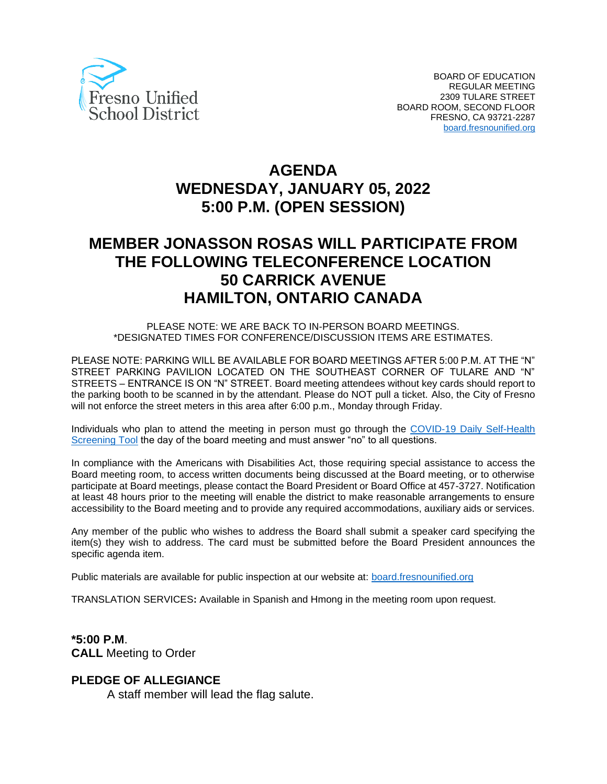

# **AGENDA WEDNESDAY, JANUARY 05, 2022 5:00 P.M. (OPEN SESSION)**

# **MEMBER JONASSON ROSAS WILL PARTICIPATE FROM THE FOLLOWING TELECONFERENCE LOCATION 50 CARRICK AVENUE HAMILTON, ONTARIO CANADA**

PLEASE NOTE: WE ARE BACK TO IN-PERSON BOARD MEETINGS. \*DESIGNATED TIMES FOR CONFERENCE/DISCUSSION ITEMS ARE ESTIMATES.

PLEASE NOTE: PARKING WILL BE AVAILABLE FOR BOARD MEETINGS AFTER 5:00 P.M. AT THE "N" STREET PARKING PAVILION LOCATED ON THE SOUTHEAST CORNER OF TULARE AND "N" STREETS – ENTRANCE IS ON "N" STREET. Board meeting attendees without key cards should report to the parking booth to be scanned in by the attendant. Please do NOT pull a ticket. Also, the City of Fresno will not enforce the street meters in this area after 6:00 p.m., Monday through Friday.

Individuals who plan to attend the meeting in person must go through the [COVID-19 Daily Self-Health](https://www.fresnounified.org/covid19/)  [Screening Tool](https://www.fresnounified.org/covid19/) the day of the board meeting and must answer "no" to all questions.

In compliance with the Americans with Disabilities Act, those requiring special assistance to access the Board meeting room, to access written documents being discussed at the Board meeting, or to otherwise participate at Board meetings, please contact the Board President or Board Office at 457-3727. Notification at least 48 hours prior to the meeting will enable the district to make reasonable arrangements to ensure accessibility to the Board meeting and to provide any required accommodations, auxiliary aids or services.

Any member of the public who wishes to address the Board shall submit a speaker card specifying the item(s) they wish to address. The card must be submitted before the Board President announces the specific agenda item.

Public materials are available for public inspection at our website at: [board.fresnounified.org](https://board.fresnounified.org/)

TRANSLATION SERVICES**:** Available in Spanish and Hmong in the meeting room upon request.

**\*5:00 P.M**. **CALL** Meeting to Order

### **PLEDGE OF ALLEGIANCE**

A staff member will lead the flag salute.